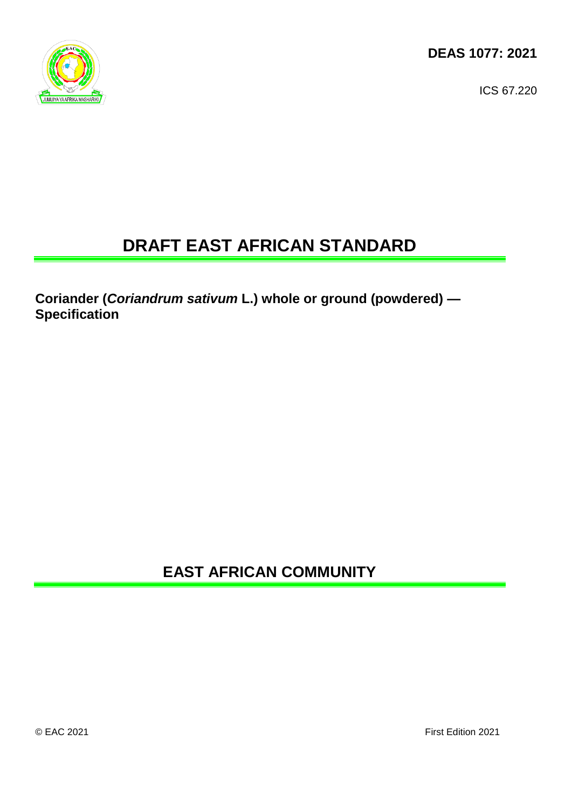

ICS 67.220

# **DRAFT EAST AFRICAN STANDARD**

**Coriander (***Coriandrum sativum* **L.) whole or ground (powdered) — Specification**

**EAST AFRICAN COMMUNITY**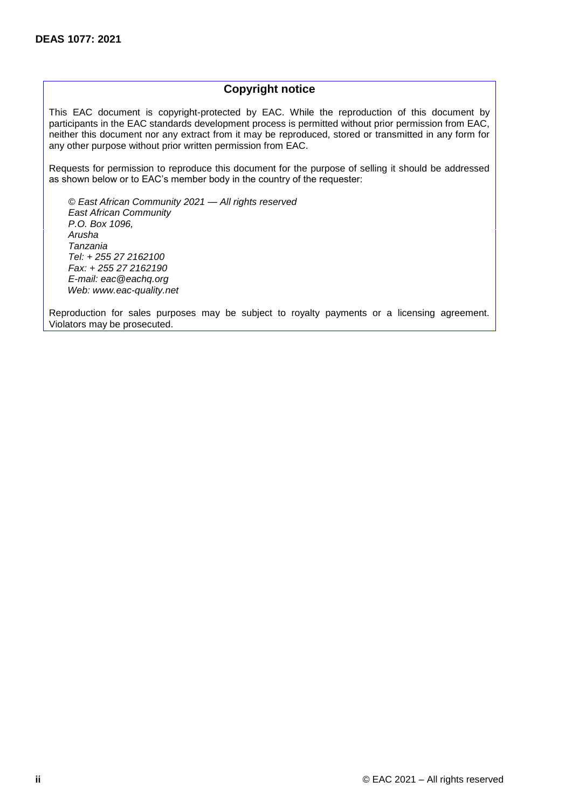# **Copyright notice**

This EAC document is copyright-protected by EAC. While the reproduction of this document by participants in the EAC standards development process is permitted without prior permission from EAC, neither this document nor any extract from it may be reproduced, stored or transmitted in any form for any other purpose without prior written permission from EAC.

Requests for permission to reproduce this document for the purpose of selling it should be addressed as shown below or to EAC's member body in the country of the requester:

*© East African Community 2021 — All rights reserved East African Community P.O. Box 1096, Arusha Tanzania Tel: + 255 27 2162100 Fax: + 255 27 2162190 E-mail: eac@eachq.org Web: www.eac-quality.net*

Reproduction for sales purposes may be subject to royalty payments or a licensing agreement. Violators may be prosecuted.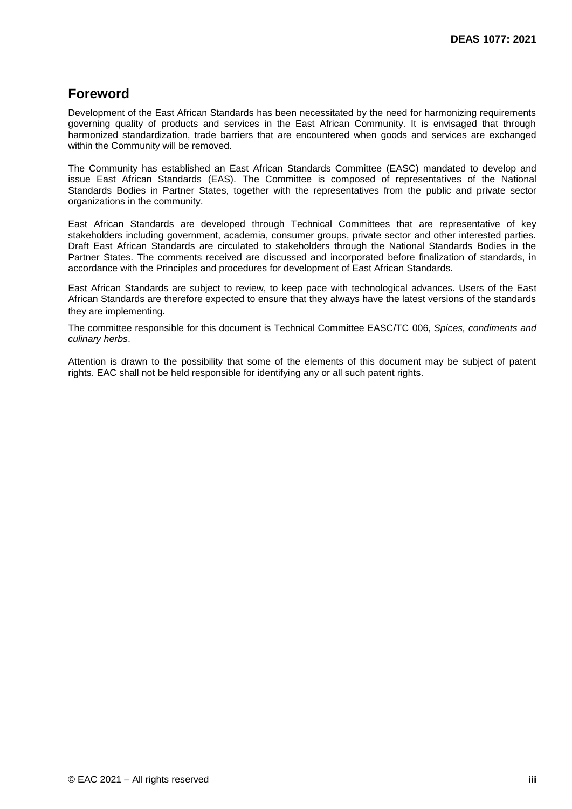# **Foreword**

Development of the East African Standards has been necessitated by the need for harmonizing requirements governing quality of products and services in the East African Community. It is envisaged that through harmonized standardization, trade barriers that are encountered when goods and services are exchanged within the Community will be removed.

The Community has established an East African Standards Committee (EASC) mandated to develop and issue East African Standards (EAS). The Committee is composed of representatives of the National Standards Bodies in Partner States, together with the representatives from the public and private sector organizations in the community.

East African Standards are developed through Technical Committees that are representative of key stakeholders including government, academia, consumer groups, private sector and other interested parties. Draft East African Standards are circulated to stakeholders through the National Standards Bodies in the Partner States. The comments received are discussed and incorporated before finalization of standards, in accordance with the Principles and procedures for development of East African Standards.

East African Standards are subject to review, to keep pace with technological advances. Users of the East African Standards are therefore expected to ensure that they always have the latest versions of the standards they are implementing.

The committee responsible for this document is Technical Committee EASC/TC 006, *Spices, condiments and culinary herbs*.

Attention is drawn to the possibility that some of the elements of this document may be subject of patent rights. EAC shall not be held responsible for identifying any or all such patent rights.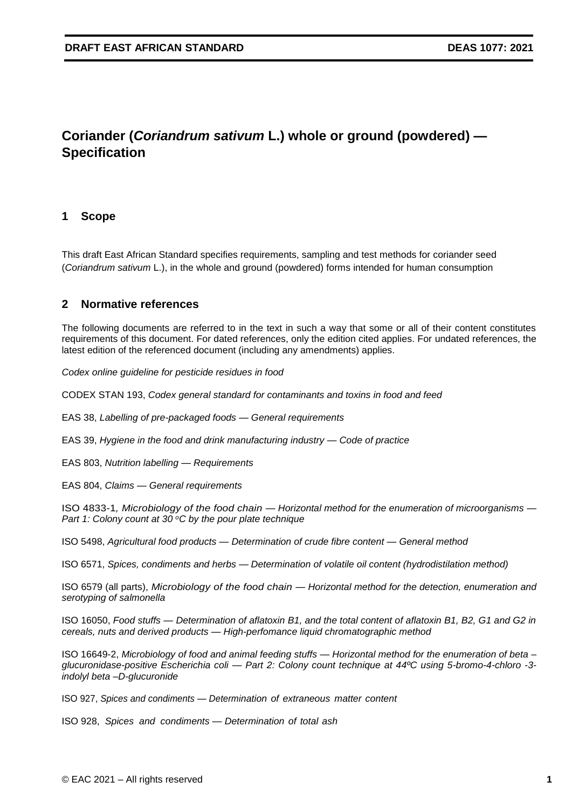# **Coriander (***Coriandrum sativum* **L.) whole or ground (powdered) — Specification**

# **1 Scope**

This draft East African Standard specifies requirements, sampling and test methods for coriander seed (*Coriandrum sativum* L.), in the whole and ground (powdered) forms intended for human consumption

# **2 Normative references**

The following documents are referred to in the text in such a way that some or all of their content constitutes requirements of this document. For dated references, only the edition cited applies. For undated references, the latest edition of the referenced document (including any amendments) applies.

*Codex online guideline for pesticide residues in food*

CODEX STAN 193, *Codex general standard for contaminants and toxins in food and feed*

EAS 38, *Labelling of pre-packaged foods — General requirements*

EAS 39, *Hygiene in the food and drink manufacturing industry — Code of practice* 

EAS 803, *Nutrition labelling — Requirements*

EAS 804, *Claims — General requirements*

ISO 4833-1*, Microbiology of the food chain — Horizontal method for the enumeration of microorganisms — Part 1: Colony count at 30 °C by the pour plate technique* 

ISO 5498, *Agricultural food products — Determination of crude fibre content — General method*

ISO 6571, *Spices, condiments and herbs — Determination of volatile oil content (hydrodistilation method)*

ISO 6579 (all parts), *Microbiology of the food chain — Horizontal method for the detection, enumeration and serotyping of salmonella* 

ISO 16050, *Food stuffs — Determination of aflatoxin B1, and the total content of aflatoxin B1, B2, G1 and G2 in cereals, nuts and derived products — High-perfomance liquid chromatographic method* 

ISO 16649-2, *Microbiology of food and animal feeding stuffs — Horizontal method for the enumeration of beta – glucuronidase-positive Escherichia coli — Part 2: Colony count technique at 44ºC using 5-bromo-4-chloro -3 indolyl beta –D-glucuronide*

ISO 927, *Spices and condiments — Determination of extraneous matter content*

ISO 928, *Spices and condiments — Determination of total ash*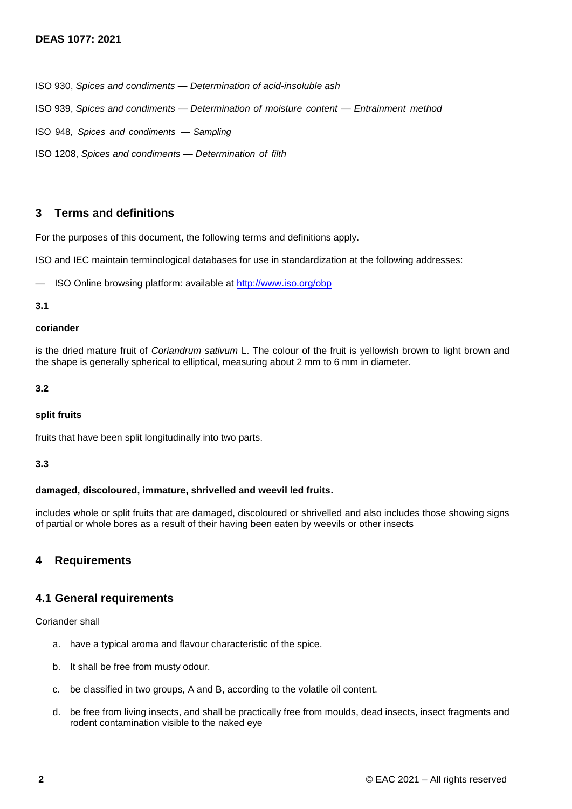ISO 930, *Spices and condiments — Determination of acid-insoluble ash*

ISO 939, *Spices and condiments — Determination of moisture content — Entrainment method*

ISO 948, *Spices and condiments — Sampling*

ISO 1208, *Spices and condiments — Determination of filth*

# **3 Terms and definitions**

For the purposes of this document, the following terms and definitions apply.

ISO and IEC maintain terminological databases for use in standardization at the following addresses:

— ISO Online browsing platform: available at<http://www.iso.org/obp>

#### **3.1**

#### **coriander**

is the dried mature fruit of *Coriandrum sativum* L. The colour of the fruit is yellowish brown to light brown and the shape is generally spherical to elliptical, measuring about 2 mm to 6 mm in diameter.

#### **3.2**

#### **split fruits**

fruits that have been split longitudinally into two parts.

#### **3.3**

#### **damaged, discoloured, immature, shrivelled and weevil led fruits.**

includes whole or split fruits that are damaged, discoloured or shrivelled and also includes those showing signs of partial or whole bores as a result of their having been eaten by weevils or other insects

# **4 Requirements**

# **4.1 General requirements**

Coriander shall

- a. have a typical aroma and flavour characteristic of the spice.
- b. It shall be free from musty odour.
- c. be classified in two groups, A and B, according to the volatile oil content.
- d. be free from living insects, and shall be practically free from moulds, dead insects, insect fragments and rodent contamination visible to the naked eye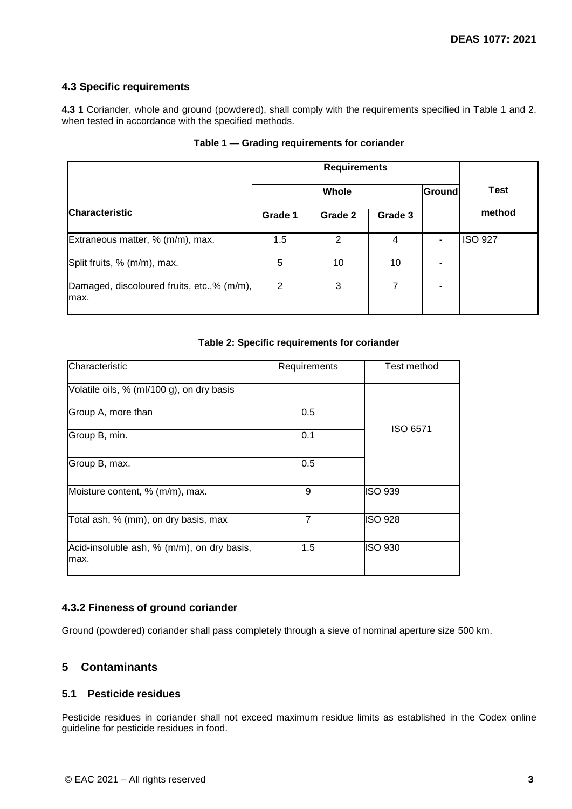# **4.3 Specific requirements**

**4.3 1** Coriander, whole and ground (powdered), shall comply with the requirements specified in Table 1 and 2, when tested in accordance with the specified methods.

|                                                    | <b>Requirements</b> |               |         |        |                |
|----------------------------------------------------|---------------------|---------------|---------|--------|----------------|
|                                                    | Whole               |               |         | Ground | <b>Test</b>    |
| <b>Characteristic</b>                              | Grade 1             | Grade 2       | Grade 3 |        | method         |
| Extraneous matter, % (m/m), max.                   | 1.5                 | $\mathcal{P}$ | 4       |        | <b>ISO 927</b> |
| Split fruits, % (m/m), max.                        | 5                   | 10            | 10      |        |                |
| Damaged, discoloured fruits, etc.,% (m/m),<br>max. | 2                   | 3             | 7       |        |                |

#### **Table 1 — Grading requirements for coriander**

#### **Table 2: Specific requirements for coriander**

| Characteristic                                      | Requirements   | Test method     |  |
|-----------------------------------------------------|----------------|-----------------|--|
| Volatile oils, % (ml/100 g), on dry basis           |                |                 |  |
| Group A, more than                                  | 0.5            | <b>ISO 6571</b> |  |
| Group B, min.                                       | 0.1            |                 |  |
| Group B, max.                                       | 0.5            |                 |  |
| Moisture content, % (m/m), max.                     | 9              | <b>ISO 939</b>  |  |
| Total ash, % (mm), on dry basis, max                | $\overline{7}$ | <b>ISO 928</b>  |  |
| Acid-insoluble ash, % (m/m), on dry basis,<br>lmax. | 1.5            | <b>ISO 930</b>  |  |

# **4.3.2 Fineness of ground coriander**

Ground (powdered) coriander shall pass completely through a sieve of nominal aperture size 500 km.

# **5 Contaminants**

# **5.1 Pesticide residues**

Pesticide residues in coriander shall not exceed maximum residue limits as established in the Codex online guideline for pesticide residues in food.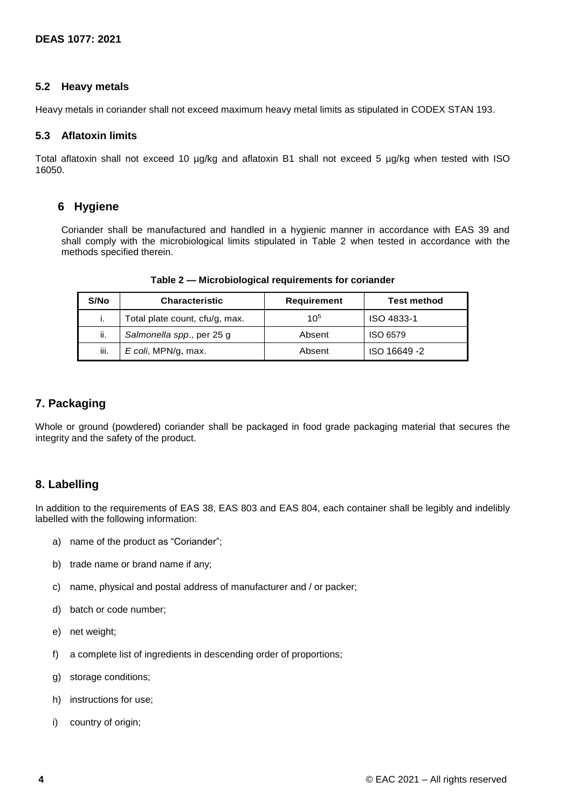### **5.2 Heavy metals**

Heavy metals in coriander shall not exceed maximum heavy metal limits as stipulated in CODEX STAN 193.

#### **5.3 Aflatoxin limits**

Total aflatoxin shall not exceed 10 µg/kg and aflatoxin B1 shall not exceed 5 µg/kg when tested with ISO 16050.

# **6 Hygiene**

Coriander shall be manufactured and handled in a hygienic manner in accordance with EAS 39 and shall comply with the microbiological limits stipulated in Table 2 when tested in accordance with the methods specified therein.

| S/No | <b>Characteristic</b>          | <b>Requirement</b> | <b>Test method</b> |
|------|--------------------------------|--------------------|--------------------|
| ь.   | Total plate count, cfu/g, max. | 10 <sup>5</sup>    | ISO 4833-1         |
| ii.  | Salmonella spp., per 25 g      | Absent             | ISO 6579           |
| iii. | E coli, MPN/g, max.            | Absent             | ISO 16649-2        |

**Table 2 — Microbiological requirements for coriander**

### **7. Packaging**

Whole or ground (powdered) coriander shall be packaged in food grade packaging material that secures the integrity and the safety of the product.

# **8. Labelling**

In addition to the requirements of EAS 38, EAS 803 and EAS 804, each container shall be legibly and indelibly labelled with the following information:

- a) name of the product as "Coriander";
- b) trade name or brand name if any;
- c) name, physical and postal address of manufacturer and / or packer;
- d) batch or code number;
- e) net weight;
- f) a complete list of ingredients in descending order of proportions;
- g) storage conditions;
- h) instructions for use;
- i) country of origin: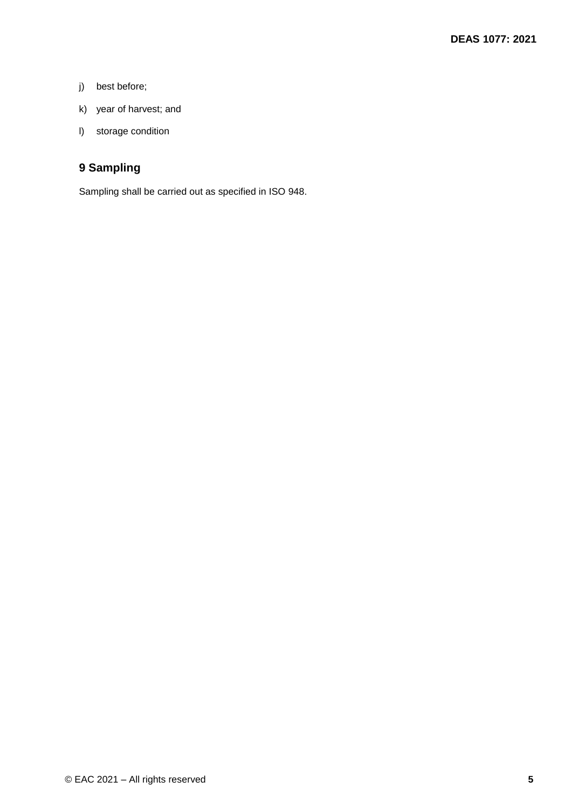- j) best before;
- k) year of harvest; and
- l) storage condition

# **9 Sampling**

Sampling shall be carried out as specified in ISO 948.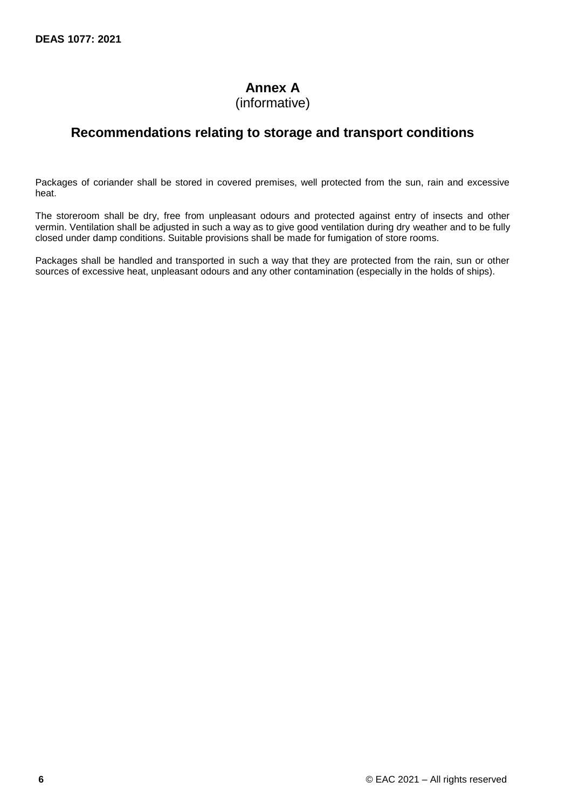# **Annex A**

(informative)

# **Recommendations relating to storage and transport conditions**

Packages of coriander shall be stored in covered premises, well protected from the sun, rain and excessive heat.

The storeroom shall be dry, free from unpleasant odours and protected against entry of insects and other vermin. Ventilation shall be adjusted in such a way as to give good ventilation during dry weather and to be fully closed under damp conditions. Suitable provisions shall be made for fumigation of store rooms.

Packages shall be handled and transported in such a way that they are protected from the rain, sun or other sources of excessive heat, unpleasant odours and any other contamination (especially in the holds of ships).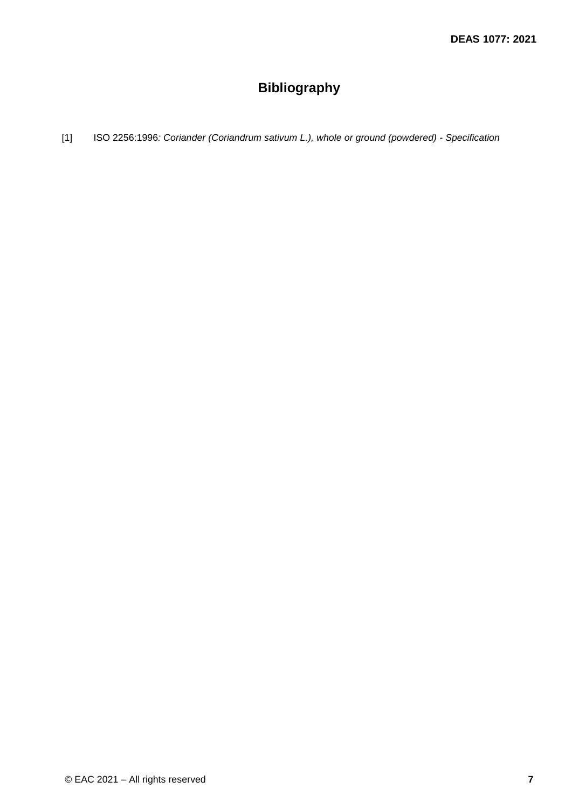# **Bibliography**

[1] ISO 2256:1996*: Coriander (Coriandrum sativum L.), whole or ground (powdered) - Specification*